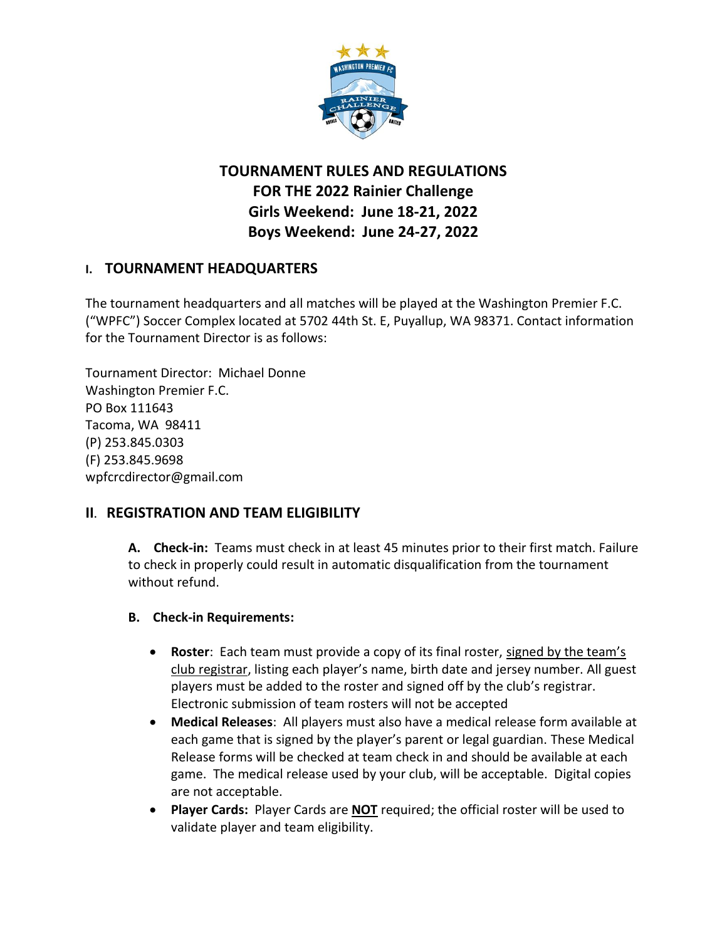

# **TOURNAMENT RULES AND REGULATIONS FOR THE 2022 Rainier Challenge Girls Weekend: June 18-21, 2022 Boys Weekend: June 24-27, 2022**

## **I. TOURNAMENT HEADQUARTERS**

The tournament headquarters and all matches will be played at the Washington Premier F.C. ("WPFC") Soccer Complex located at 5702 44th St. E, Puyallup, WA 98371. Contact information for the Tournament Director is as follows:

Tournament Director: Michael Donne Washington Premier F.C. PO Box 111643 Tacoma, WA 98411 (P) 253.845.0303 (F) 253.845.9698 wpfcrcdirector@gmail.com

### **II. REGISTRATION AND TEAM ELIGIBILITY**

**A. Check-in:** Teams must check in at least 45 minutes prior to their first match. Failure to check in properly could result in automatic disqualification from the tournament without refund.

### **B. Check-in Requirements:**

- **Roster**: Each team must provide a copy of its final roster, signed by the team's club registrar, listing each player's name, birth date and jersey number. All guest players must be added to the roster and signed off by the club's registrar. Electronic submission of team rosters will not be accepted
- **Medical Releases**: All players must also have a medical release form available at each game that is signed by the player's parent or legal guardian. These Medical Release forms will be checked at team check in and should be available at each game. The medical release used by your club, will be acceptable. Digital copies are not acceptable.
- **Player Cards:** Player Cards are **NOT** required; the official roster will be used to validate player and team eligibility.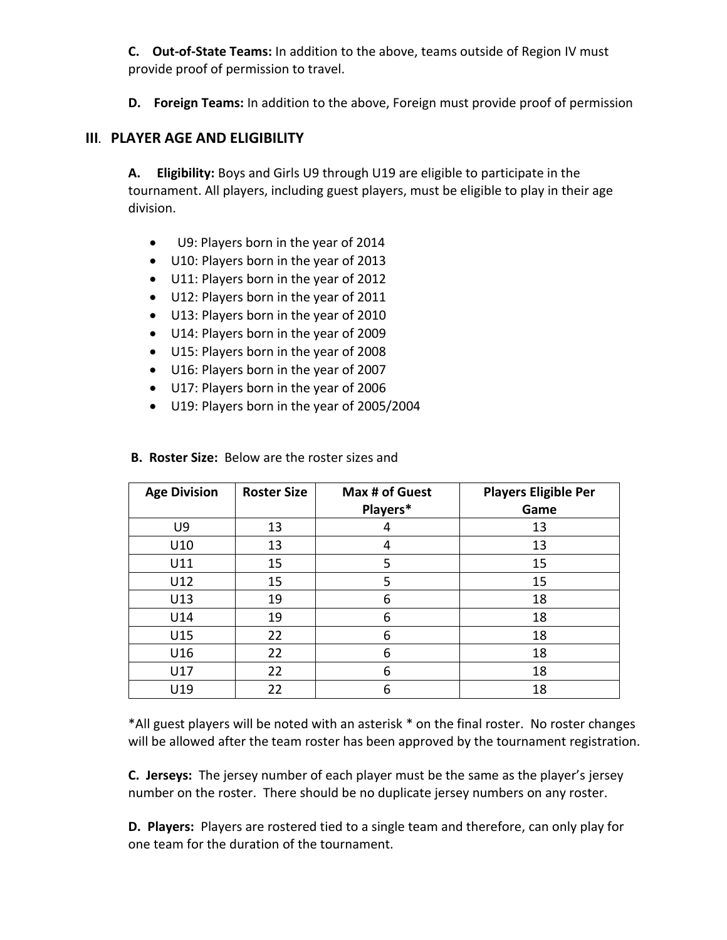**C. Out-of-State Teams:** In addition to the above, teams outside of Region IV must provide proof of permission to travel.

**D. Foreign Teams:** In addition to the above, Foreign must provide proof of permission

#### **III. PLAYER AGE AND ELIGIBILITY**

**A. Eligibility:** Boys and Girls U9 through U19 are eligible to participate in the tournament. All players, including guest players, must be eligible to play in their age division.

- U9: Players born in the year of 2014
- U10: Players born in the year of 2013
- U11: Players born in the year of 2012
- U12: Players born in the year of 2011
- U13: Players born in the year of 2010
- U14: Players born in the year of 2009
- U15: Players born in the year of 2008
- U16: Players born in the year of 2007
- U17: Players born in the year of 2006
- U19: Players born in the year of 2005/2004

| <b>Age Division</b> | <b>Roster Size</b> | Max # of Guest<br>Players* | <b>Players Eligible Per</b><br>Game |
|---------------------|--------------------|----------------------------|-------------------------------------|
| U9                  | 13                 | 4                          | 13                                  |
| U10                 | 13                 | 4                          | 13                                  |
| U11                 | 15                 | 5                          | 15                                  |
| U12                 | 15                 | 5                          | 15                                  |
| U13                 | 19                 | 6                          | 18                                  |
| U14                 | 19                 | 6                          | 18                                  |
| U15                 | 22                 | 6                          | 18                                  |
| U16                 | 22                 | 6                          | 18                                  |
| U17                 | 22                 | 6                          | 18                                  |
| U19                 | 22                 | 6                          | 18                                  |

#### **B. Roster Size:** Below are the roster sizes and

\*All guest players will be noted with an asterisk \* on the final roster. No roster changes will be allowed after the team roster has been approved by the tournament registration.

**C. Jerseys:** The jersey number of each player must be the same as the player's jersey number on the roster. There should be no duplicate jersey numbers on any roster.

**D. Players:** Players are rostered tied to a single team and therefore, can only play for one team for the duration of the tournament.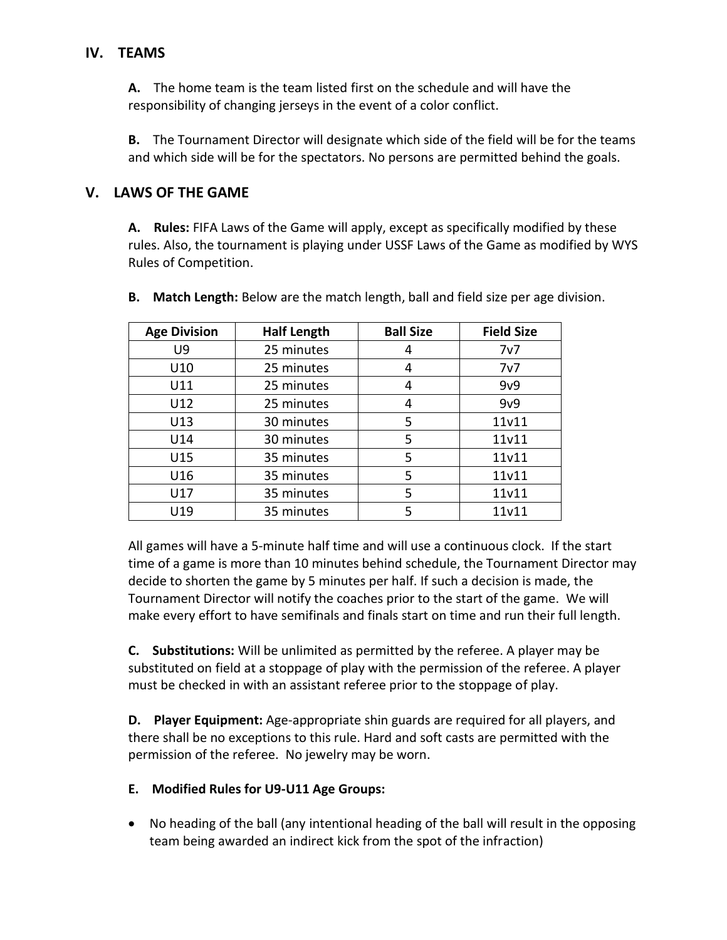#### **IV. TEAMS**

**A.** The home team is the team listed first on the schedule and will have the responsibility of changing jerseys in the event of a color conflict.

**B.** The Tournament Director will designate which side of the field will be for the teams and which side will be for the spectators. No persons are permitted behind the goals.

#### **V. LAWS OF THE GAME**

**A. Rules:** FIFA Laws of the Game will apply, except as specifically modified by these rules. Also, the tournament is playing under USSF Laws of the Game as modified by WYS Rules of Competition.

| <b>Age Division</b> | <b>Half Length</b> | <b>Ball Size</b> | <b>Field Size</b> |
|---------------------|--------------------|------------------|-------------------|
| U9                  | 25 minutes         |                  | 7v7               |
| U <sub>10</sub>     | 25 minutes         | 4                | 7v7               |
| U11                 | 25 minutes         | 4                | 9v9               |
| U12                 | 25 minutes         | 4                | 9v9               |
| U13                 | 30 minutes         | 5                | 11v11             |
| U14                 | 30 minutes         | 5                | 11v11             |
| U15                 | 35 minutes         | 5                | 11v11             |
| U16                 | 35 minutes         | 5                | 11v11             |
| U17                 | 35 minutes         | 5                | 11v11             |
| U19                 | 35 minutes         | 5                | 11v11             |

**B. Match Length:** Below are the match length, ball and field size per age division.

All games will have a 5-minute half time and will use a continuous clock. If the start time of a game is more than 10 minutes behind schedule, the Tournament Director may decide to shorten the game by 5 minutes per half. If such a decision is made, the Tournament Director will notify the coaches prior to the start of the game. We will make every effort to have semifinals and finals start on time and run their full length.

**C. Substitutions:** Will be unlimited as permitted by the referee. A player may be substituted on field at a stoppage of play with the permission of the referee. A player must be checked in with an assistant referee prior to the stoppage of play.

**D. Player Equipment:** Age-appropriate shin guards are required for all players, and there shall be no exceptions to this rule. Hard and soft casts are permitted with the permission of the referee. No jewelry may be worn.

#### **E. Modified Rules for U9-U11 Age Groups:**

• No heading of the ball (any intentional heading of the ball will result in the opposing team being awarded an indirect kick from the spot of the infraction)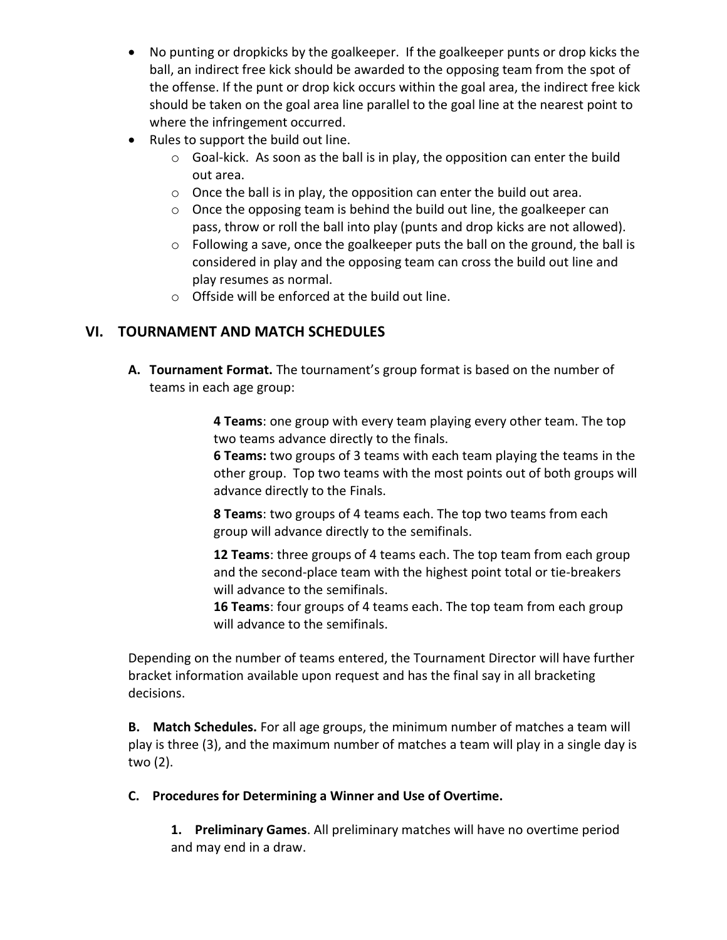- No punting or dropkicks by the goalkeeper. If the goalkeeper punts or drop kicks the ball, an indirect free kick should be awarded to the opposing team from the spot of the offense. If the punt or drop kick occurs within the goal area, the indirect free kick should be taken on the goal area line parallel to the goal line at the nearest point to where the infringement occurred.
- Rules to support the build out line.
	- $\circ$  Goal-kick. As soon as the ball is in play, the opposition can enter the build out area.
	- o Once the ball is in play, the opposition can enter the build out area.
	- o Once the opposing team is behind the build out line, the goalkeeper can pass, throw or roll the ball into play (punts and drop kicks are not allowed).
	- $\circ$  Following a save, once the goalkeeper puts the ball on the ground, the ball is considered in play and the opposing team can cross the build out line and play resumes as normal.
	- $\circ$  Offside will be enforced at the build out line.

# **VI. TOURNAMENT AND MATCH SCHEDULES**

**A. Tournament Format.** The tournament's group format is based on the number of teams in each age group:

> **4 Teams**: one group with every team playing every other team. The top two teams advance directly to the finals.

**6 Teams:** two groups of 3 teams with each team playing the teams in the other group. Top two teams with the most points out of both groups will advance directly to the Finals.

**8 Teams**: two groups of 4 teams each. The top two teams from each group will advance directly to the semifinals.

**12 Teams**: three groups of 4 teams each. The top team from each group and the second-place team with the highest point total or tie-breakers will advance to the semifinals.

**16 Teams**: four groups of 4 teams each. The top team from each group will advance to the semifinals.

Depending on the number of teams entered, the Tournament Director will have further bracket information available upon request and has the final say in all bracketing decisions.

**B. Match Schedules.** For all age groups, the minimum number of matches a team will play is three (3), and the maximum number of matches a team will play in a single day is two (2).

### **C. Procedures for Determining a Winner and Use of Overtime.**

**1. Preliminary Games**. All preliminary matches will have no overtime period and may end in a draw.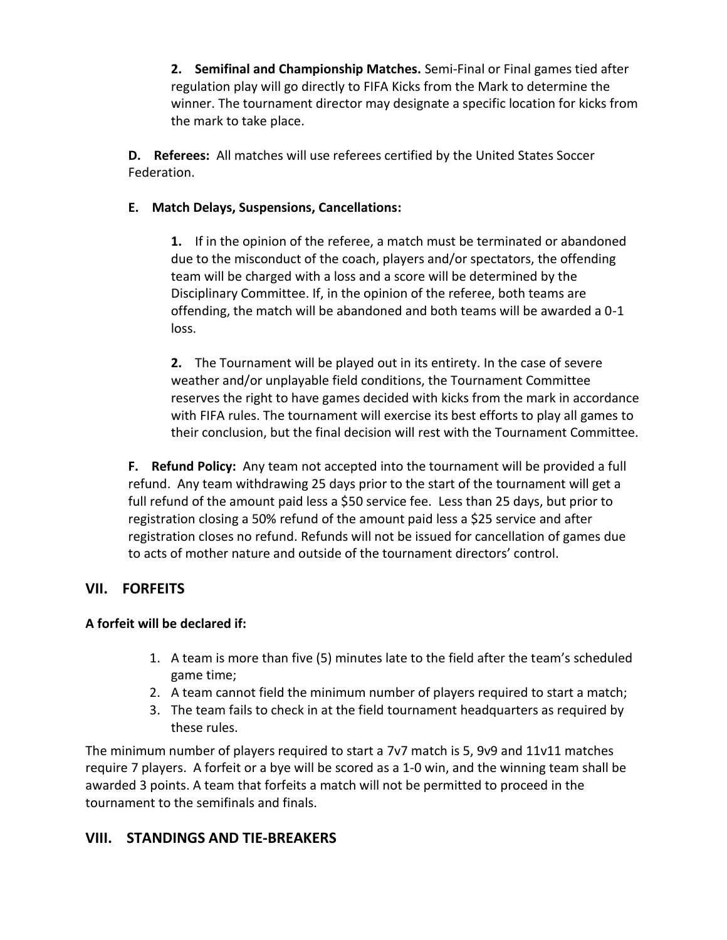**2. Semifinal and Championship Matches.** Semi-Final or Final games tied after regulation play will go directly to FIFA Kicks from the Mark to determine the winner. The tournament director may designate a specific location for kicks from the mark to take place.

**D. Referees:** All matches will use referees certified by the United States Soccer Federation.

#### **E. Match Delays, Suspensions, Cancellations:**

**1.** If in the opinion of the referee, a match must be terminated or abandoned due to the misconduct of the coach, players and/or spectators, the offending team will be charged with a loss and a score will be determined by the Disciplinary Committee. If, in the opinion of the referee, both teams are offending, the match will be abandoned and both teams will be awarded a 0-1 loss.

**2.** The Tournament will be played out in its entirety. In the case of severe weather and/or unplayable field conditions, the Tournament Committee reserves the right to have games decided with kicks from the mark in accordance with FIFA rules. The tournament will exercise its best efforts to play all games to their conclusion, but the final decision will rest with the Tournament Committee.

**F. Refund Policy:** Any team not accepted into the tournament will be provided a full refund. Any team withdrawing 25 days prior to the start of the tournament will get a full refund of the amount paid less a \$50 service fee. Less than 25 days, but prior to registration closing a 50% refund of the amount paid less a \$25 service and after registration closes no refund. Refunds will not be issued for cancellation of games due to acts of mother nature and outside of the tournament directors' control.

### **VII. FORFEITS**

### **A forfeit will be declared if:**

- 1. A team is more than five (5) minutes late to the field after the team's scheduled game time;
- 2. A team cannot field the minimum number of players required to start a match;
- 3. The team fails to check in at the field tournament headquarters as required by these rules.

The minimum number of players required to start a 7v7 match is 5, 9v9 and 11v11 matches require 7 players. A forfeit or a bye will be scored as a 1-0 win, and the winning team shall be awarded 3 points. A team that forfeits a match will not be permitted to proceed in the tournament to the semifinals and finals.

### **VIII. STANDINGS AND TIE-BREAKERS**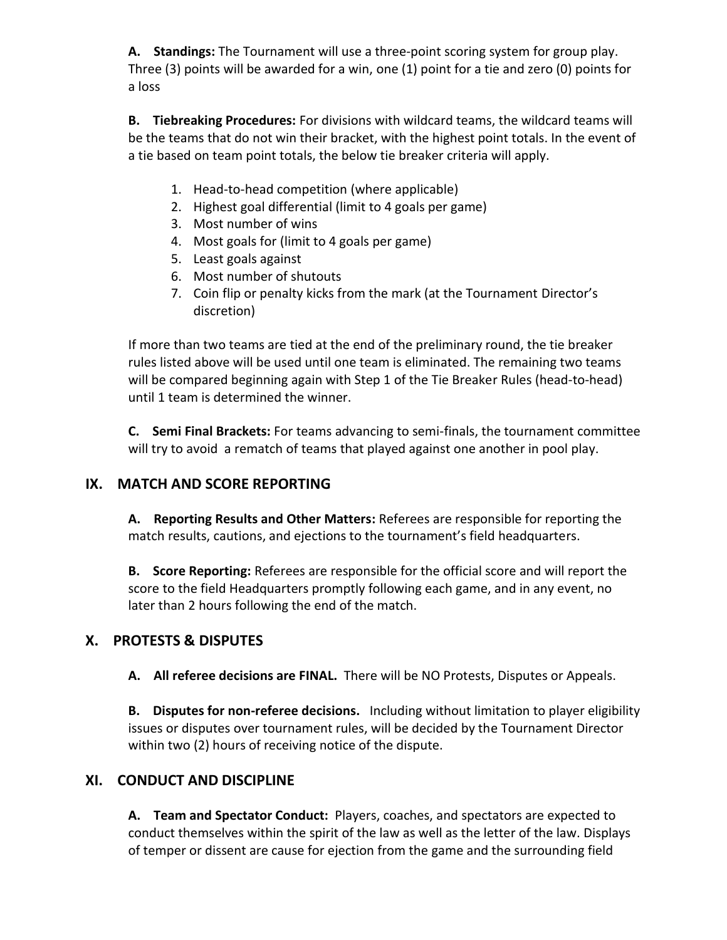**A. Standings:** The Tournament will use a three-point scoring system for group play. Three (3) points will be awarded for a win, one (1) point for a tie and zero (0) points for a loss

**B. Tiebreaking Procedures:** For divisions with wildcard teams, the wildcard teams will be the teams that do not win their bracket, with the highest point totals. In the event of a tie based on team point totals, the below tie breaker criteria will apply.

- 1. Head-to-head competition (where applicable)
- 2. Highest goal differential (limit to 4 goals per game)
- 3. Most number of wins
- 4. Most goals for (limit to 4 goals per game)
- 5. Least goals against
- 6. Most number of shutouts
- 7. Coin flip or penalty kicks from the mark (at the Tournament Director's discretion)

If more than two teams are tied at the end of the preliminary round, the tie breaker rules listed above will be used until one team is eliminated. The remaining two teams will be compared beginning again with Step 1 of the Tie Breaker Rules (head-to-head) until 1 team is determined the winner.

**C. Semi Final Brackets:** For teams advancing to semi-finals, the tournament committee will try to avoid a rematch of teams that played against one another in pool play.

### **IX. MATCH AND SCORE REPORTING**

**A. Reporting Results and Other Matters:** Referees are responsible for reporting the match results, cautions, and ejections to the tournament's field headquarters.

**B. Score Reporting:** Referees are responsible for the official score and will report the score to the field Headquarters promptly following each game, and in any event, no later than 2 hours following the end of the match.

### **X. PROTESTS & DISPUTES**

**A. All referee decisions are FINAL.** There will be NO Protests, Disputes or Appeals.

**B. Disputes for non-referee decisions.** Including without limitation to player eligibility issues or disputes over tournament rules, will be decided by the Tournament Director within two (2) hours of receiving notice of the dispute.

### **XI. CONDUCT AND DISCIPLINE**

**A. Team and Spectator Conduct:** Players, coaches, and spectators are expected to conduct themselves within the spirit of the law as well as the letter of the law. Displays of temper or dissent are cause for ejection from the game and the surrounding field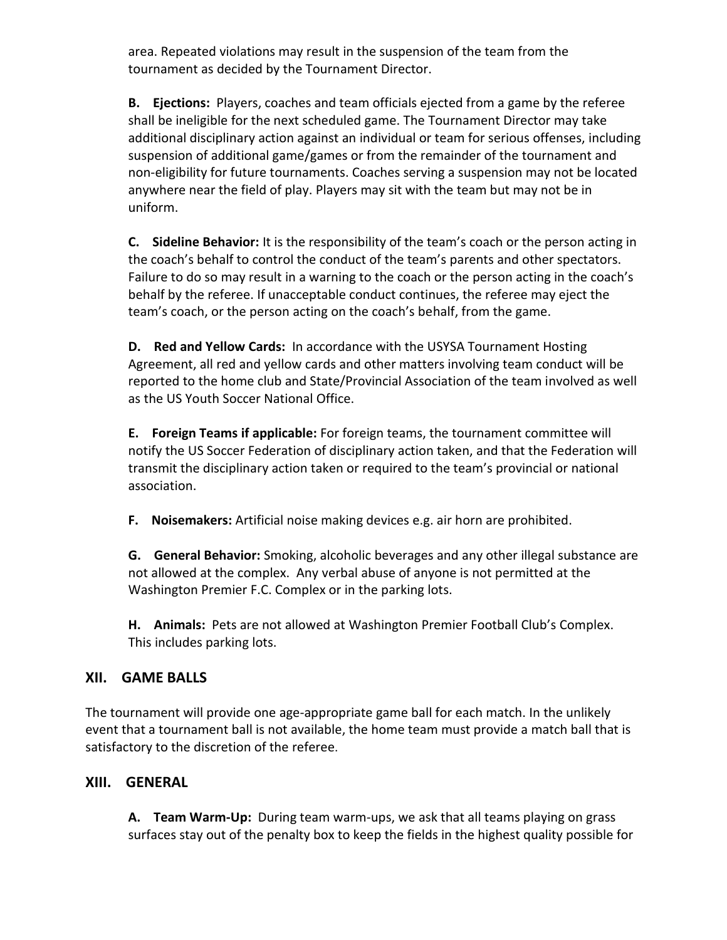area. Repeated violations may result in the suspension of the team from the tournament as decided by the Tournament Director.

**B. Ejections:** Players, coaches and team officials ejected from a game by the referee shall be ineligible for the next scheduled game. The Tournament Director may take additional disciplinary action against an individual or team for serious offenses, including suspension of additional game/games or from the remainder of the tournament and non-eligibility for future tournaments. Coaches serving a suspension may not be located anywhere near the field of play. Players may sit with the team but may not be in uniform.

**C. Sideline Behavior:** It is the responsibility of the team's coach or the person acting in the coach's behalf to control the conduct of the team's parents and other spectators. Failure to do so may result in a warning to the coach or the person acting in the coach's behalf by the referee. If unacceptable conduct continues, the referee may eject the team's coach, or the person acting on the coach's behalf, from the game.

**D. Red and Yellow Cards:** In accordance with the USYSA Tournament Hosting Agreement, all red and yellow cards and other matters involving team conduct will be reported to the home club and State/Provincial Association of the team involved as well as the US Youth Soccer National Office.

**E. Foreign Teams if applicable:** For foreign teams, the tournament committee will notify the US Soccer Federation of disciplinary action taken, and that the Federation will transmit the disciplinary action taken or required to the team's provincial or national association.

**F. Noisemakers:** Artificial noise making devices e.g. air horn are prohibited.

**G. General Behavior:** Smoking, alcoholic beverages and any other illegal substance are not allowed at the complex. Any verbal abuse of anyone is not permitted at the Washington Premier F.C. Complex or in the parking lots.

**H. Animals:** Pets are not allowed at Washington Premier Football Club's Complex. This includes parking lots.

### **XII. GAME BALLS**

The tournament will provide one age-appropriate game ball for each match. In the unlikely event that a tournament ball is not available, the home team must provide a match ball that is satisfactory to the discretion of the referee.

### **XIII. GENERAL**

**A. Team Warm-Up:** During team warm-ups, we ask that all teams playing on grass surfaces stay out of the penalty box to keep the fields in the highest quality possible for